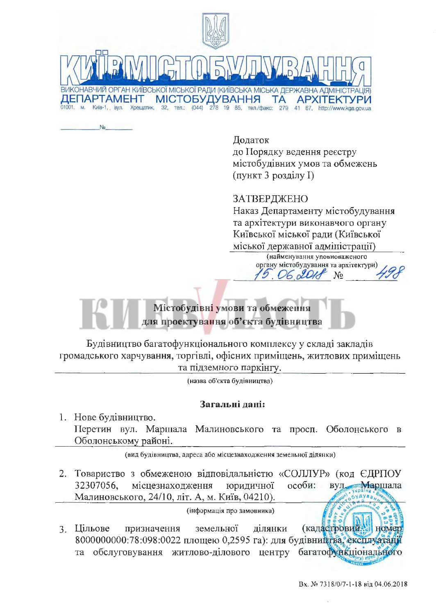

No

Додаток до Порядку ведення реєстру містобудівних умов та обмежень (пункт 3 розділу I)

## ЗАТВЕРДЖЕНО

Наказ Департаменту містобудування та архітектури виконавчого органу Київської міської ради (Київської міської державної адміністрації)

> (найменування уповноваженого органу містобудування та архітектури)

> > $No$

 $6201$ 



Будівництво багатофункціонального комплексу у складі закладів громадського харчування, торгівлі, офісних приміщень, житлових приміщень та підземного паркінгу.

(назва об'єкта будівництва)

## Загальні дані:

1. Нове будівництво. Перетин вул. Маршала Малиновського та просп. Оболонського в Оболонському районі.

(вид будівництва, адреса або місцезнаходження земельної ділянки)

2. Товариство з обмеженою відповідальністю «СОЛЛУР» (код ЄДРПОУ 32307056. місцезнаходження юридичної особи: BVJL. Маршала Малиновського, 24/10, літ. А, м. Київ, 04210).

(інформація про замовника)

(кадастровий номер 3. Цільове призначення земельної ділянки 8000000000:78:098:0022 площею 0,2595 га): для будівництва, експлуатації та обслуговування житлово-ділового центру багатофункціонального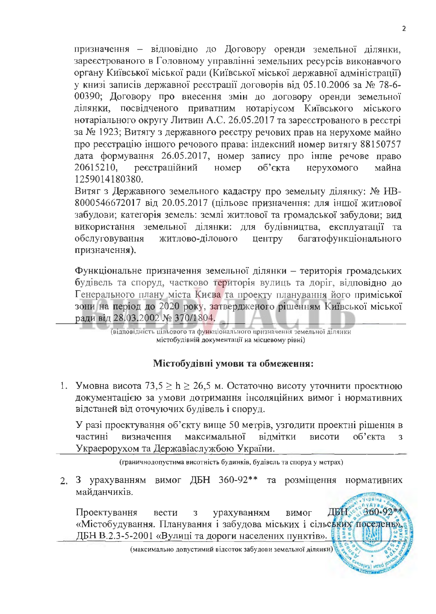призначення - відповідно до Договору оренди земельної ділянки, зареєстрованого в Головному управлінні земельних ресурсів виконавчого органу Київської міської ради (Київської міської державної адміністрації) у книзі записів державної реєстрації договорів від 05.10.2006 за № 78-6-00390; Договору про внесення змін до договору оренди земельної ділянки, посвідченого приватним нотаріусом Київського міського нотаріального округу Литвин А.С. 26.05.2017 та зареєстрованого в реєстрі за № 1923; Витягу з державного реєстру речових прав на нерухоме майно про реєстрацію іншого речового права: індексний номер витягу 88150757 дата формування 26.05.2017, номер запису про інше речове право 20615210, реєстраційний номер об'єкта нерухомого майна 1259014180380.

Витяг з Державного земельного кадастру про земельну ділянку: № НВ-8000546672017 від 20.05.2017 (цільове призначення: для іншої житлової забудови; категорія земель: землі житлової та громадської забудови; вид використання земельної ділянки: для будівництва, експлуатації та обслуговування житлово-ділового центру багатофункціонального призначення).

Функціональне призначення земельної ділянки - територія громадських будівель та споруд, частково територія вулиць та доріг, відповідно до Генерального плану міста Києва та проекту планування його приміської зони на період до 2020 року, затвердженого рішенням Київської міської ради від 28.03.2002 № 370/1804.

(відповідність цільового та функціонального цризначення земельної ділянкн містобудівній документації на місцевому рівні)

## Містобудівні умови та обмеження:

1. Умовна висота 73,5  $\geq$  h  $\geq$  26,5 м. Остаточно висоту уточнити проектною документацією за умови дотримання інсоляційних вимог і нормативних відстаней від оточуючих будівель і споруд.

У разі проектування об'єкту вище 50 метрів, узгодити проектні рішення в частині визначення максимальної відмітки висоти об'єкта  $\overline{3}$ Украерорухом та Державіаслужбою України.

(граничнодопустима висотність будинків, будівель та споруд у метрах)

2. З урахуванням вимог ДБН 360-92\*\* та розміщення нормативних майланчиків.

360-92\* Проектування урахуванням ДБН. вести  $\overline{3}$ вимог «Містобудування. Планування і забудова міських і сільських поседень» ДБН В.2.3-5-2001 «Вулиці та дороги населених пунктів».

(максимально допустимий відсоток забудови земельної ділянки)

(WX) WITH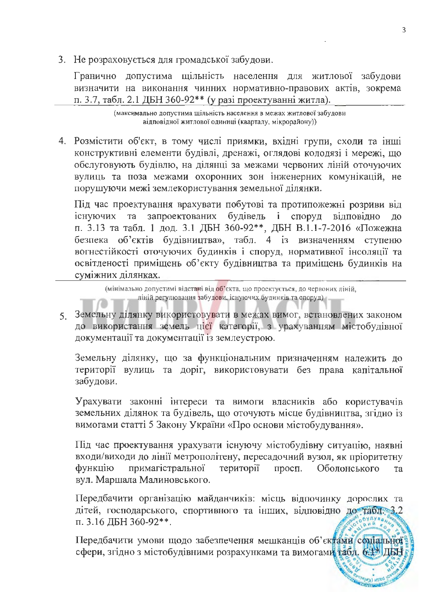3. Не розраховується для громадської забудови.

Гранично допустима щільність населення для житлової забудови визначити на виконання чинних нормативно-правових актів, зокрема п. 3.7, табл. 2.1 ДБН 360-92\*\* (у разі проектуванні житла).

> (максимально допустима щільність населення в межах житлової забудови відповідної житлової одиниці (кварталу, мікрорайону))

4. Розмістити об'єкт, в тому числі приямки, вхідні групи, сходи та інші конструктивні елементи будівлі, дренажі, оглядові колодязі і мережі, що обслуговують будівлю, на ділянці за межами червоних ліній оточуючих вулиць та поза межами охоронних зон інженерних комунікацій, не порушуючи межі землекористування земельної ділянки.

Під час проектування врахувати побутові та протипожежні розриви від запроектованих будівель і споруд відповідно існуючих та ДО п. 3.13 та табл. 1 дод. 3.1 ДБН 360-92\*\*, ДБН В.1.1-7-2016 «Пожежна безпека об'єктів будівництва», табл. 4 із визначенням ступеню вогнестійкості оточуючих будинків і споруд, нормативної інсоляції та освітленості приміщень об'єкту будівництва та приміщень будинків на суміжних ділянках.

(мінімально допустимі відстані від об'єкта, що проектується, до червоних ліній, ліній регулювання забудови, існуючих будинків та споруд)

5. Земельну ділянку використовувати в межах вимог, встановлених законом до використання земель цієї категорії, з урахуванням містобудівної документації та документації із землеустрою.

Земельну ділянку, що за функціональним призначенням належить до території вулиць та доріг, використовувати без права капітальної забудови.

Урахувати законні інтереси та вимоги власників або користувачів земельних ділянок та будівель, що оточують місце будівництва, згідно із вимогами статті 5 Закону України «Про основи містобудування».

Під час проектування урахувати існуючу містобудівну ситуацію, наявні входи/виходи до лінії метрополітену, пересадочний вузол, як пріоритетну **функцію** примагістральної території просп. Оболонського та вул. Маршала Малиновського.

Передбачити організацію майданчиків: місць відпочинку дорослих та дітей, господарського, спортивного та інших, відповідно до табле 3.2 п. 3.16 ДБН 360-92\*\*.

Передбачити умови щодо забезпечення мешканців об'єктами соміальної сфери, згідно з містобудівними розрахунками та вимогами табл. 6:1\* ДБН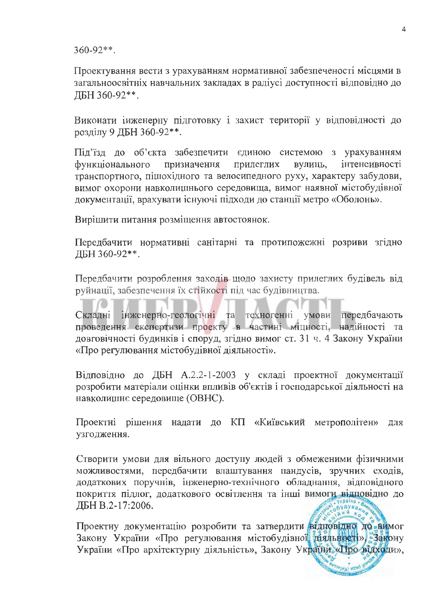$360 - 92**$ .

Проектування вести з урахуванням нормативної забезпеченості місцями в загальноосвітніх навчальних закладах в радіусі доступності відповідно до ЛБН 360-92\*\*.

Виконати інженерну підготовку і захист території у відповідності до розділу 9 ДБН 360-92\*\*.

Під'їзд до об'єкта забезпечити єдиною системою з урахуванням прилеглих інтенсивності функціонального призначення вулиць, транспортного, пішохідного та велосипедного руху, характеру забудови, вимог охорони навколишнього середовища, вимог наявної містобудівної документації, врахувати існуючі підходи до станції метро «Оболонь».

Вирішити питання розміщення автостоянок.

Передбачити нормативні санітарні та протипожежні розриви згідно ДБН 360-92\*\*.

Передбачити розроблення заходів щодо захисту прилеглих будівель від руйнації, забезпечення їх стійкості під час будівництва.

інженерно-геологічні та техногенні умови передбачають Складні проведення експертизи проекту в частині міцності, надійності та довговічності будинків і споруд, згідно вимог ст. 31 ч. 4 Закону України «Про регулювання містобудівної діяльності».

Відповідно до ДБН А.2.2-1-2003 у складі проектної документації розробити матеріали оцінки впливів об'єктів і господарської діяльності на навколишнє середовище (ОВНС).

Проектні рішення надати до КП «Київський метрополітен» ДЛЯ узгодження.

Створити умови для вільного доступу людей з обмеженими фізичними можливостями, передбачити влаштування пандусів, зручних сходів, додаткових поручнів, інженерно-технічного обладнання, відповідного покриття підлог, додаткового освітлення та інші вимоги відповідно до ДБН В.2-17:2006.

Проектну документацію розробити та затвердити відновідно до вимог Закону України «Про регулювання містобудівної діяльності», Закону України «Про архітектурну діяльність», Закону України «Про відходи»,

ann (Kwiec<sub>e</sub>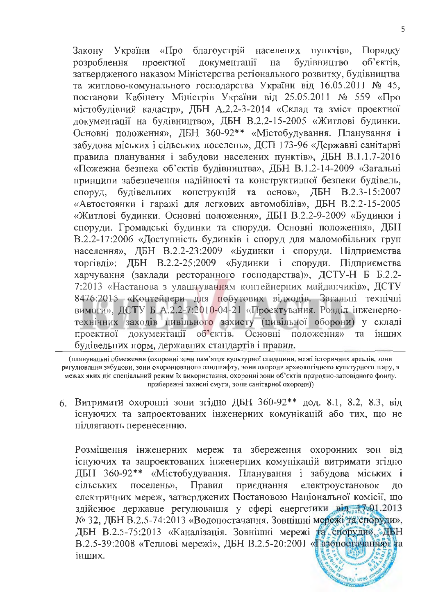України «Про благоустрій населених пунктів». Закону Порядку локументації булівництво об'єктів. розроблення проектної на затвердженого наказом Міністерства регіонального розвитку, будівництва та житлово-комунального господарства України від 16.05.2011 № 45, постанови Кабінету Міністрів України від 25.05.2011 № 559 «Про містобудівний кадастр», ДБН А.2.2-3-2014 «Склад та зміст проектної документації на будівництво», ДБН В.2.2-15-2005 «Житлові будинки. Основні положення», ДБН 360-92\*\* «Містобудування. Планування і забудова міських і сільських поселень», ДСП 173-96 «Державні санітарні правила планування і забудови населених пунктів», ДБН В.1.1.7-2016 «Пожежна безпека об'єктів будівництва», ДБН В.1.2-14-2009 «Загальні принципи забезпечення надійності та конструктивної безпеки будівель, споруд. будівельних конструкцій та основ», ДБН В.2.3-15:2007 «Автостоянки і гаражі для легкових автомобілів», ДБН В.2.2-15-2005 «Житлові будинки. Основні положення», ДБН В.2.2-9-2009 «Будинки і споруди. Громадські будинки та споруди. Основні положення», ДБН В.2.2-17:2006 «Доступність будинків і споруд для маломобільних груп населення», ДБН В.2.2-23:2009 «Будинки і споруди. Підприємства торгівлі»; ДБН В.2.2-25:2009 «Будинки і споруди. Підприємства харчування (заклади ресторанного господарства)», ДСТУ-Н Б Б.2.2-7:2013 «Настанова з улаштуванням контейнерних майданчиків», ДСТУ 8476:2015 «Контейнери для побутових відходів. Загальні технічні вимоги», ДСТУ Б А.2.2-7:2010-04-21 «Проектування. Розділ інженернотехнічних заходів цивільного захисту (цивільної оборони) у складі Основні об'єктів. проектної документації положення» та інших будівельних норм, державних стандартів і правил.

(планувальні обмеження (охоронні зони пам'яток культурної спадщини, межі історичних ареалів, зони регулювання забудови, зони охоронюваного ландшафту, зоии охорони археологічного культурного шару, в межах яких діє спеціальний режим їх використання, охоронні зони об'єктів природно-заповідного фонду, прибережні захисні смуги, зони санітарної охорони))

6. Витримати охоронні зони згідно ДБН 360-92\*\* дод. 8.1, 8.2, 8.3, від існуючих та запроектованих інженерних комунікацій або тих, що не підлягають перенесенню.

Розміщення інженерних мереж та збереження охоронних зон від існуючих та запроектованих інженерних комунікацій витримати згідно ДБН 360-92\*\* «Містобудування. Планування і забудова міських і поселень», Правил приєднання електроустановок сільських ДО електричних мереж, затверджених Постановою Національної комісії. що здійснює державне регулювання у сфері енергетики від 1401.2013 № 32, ДБН В.2.5-74:2013 «Водопостачання. Зовнішні мережі та споруди», ДБН В.2.5-75:2013 «Каналізація. Зовнішні мережі та споруди», ДБН В.2.5-39:2008 «Теплові мережі», ДБН В.2.5-20:2001 «Газопостачання» та інших.

Bygoniny) wred